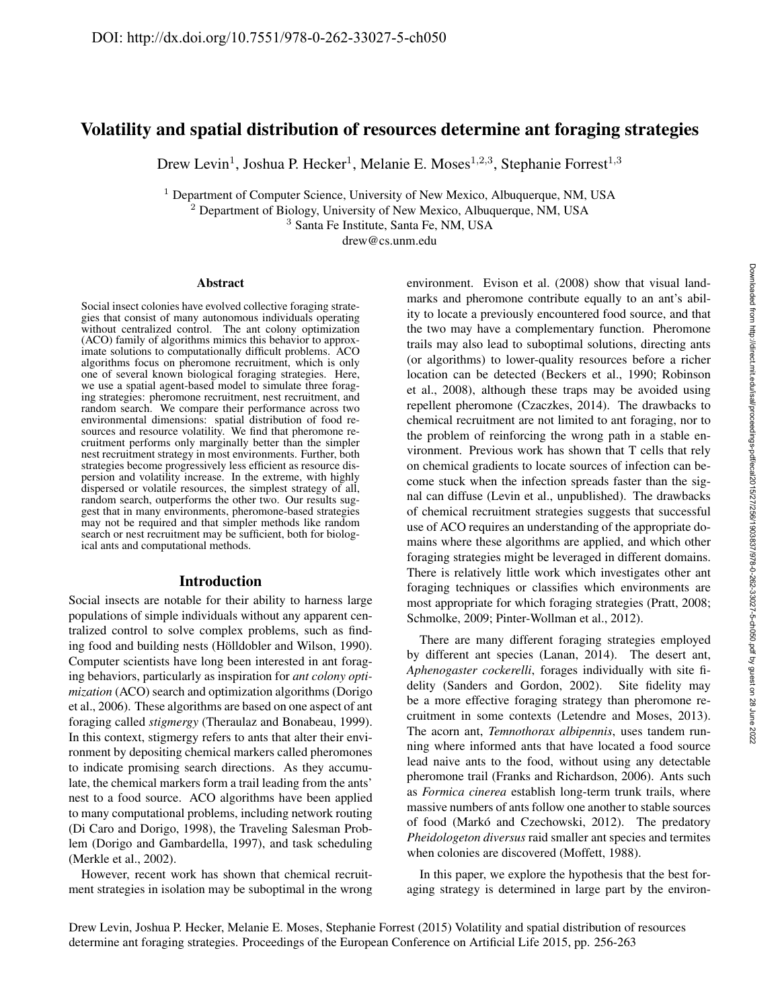# Volatility and spatial distribution of resources determine ant foraging strategies

Drew Levin<sup>1</sup>, Joshua P. Hecker<sup>1</sup>, Melanie E. Moses<sup>1,2,3</sup>, Stephanie Forrest<sup>1,3</sup>

<sup>1</sup> Department of Computer Science, University of New Mexico, Albuquerque, NM, USA  $2$  Department of Biology, University of New Mexico, Albuquerque, NM, USA

<sup>3</sup> Santa Fe Institute, Santa Fe, NM, USA

drew@cs.unm.edu

#### Abstract

Social insect colonies have evolved collective foraging strategies that consist of many autonomous individuals operating without centralized control. The ant colony optimization (ACO) family of algorithms mimics this behavior to approximate solutions to computationally difficult problems. ACO algorithms focus on pheromone recruitment, which is only one of several known biological foraging strategies. Here, we use a spatial agent-based model to simulate three foraging strategies: pheromone recruitment, nest recruitment, and random search. We compare their performance across two environmental dimensions: spatial distribution of food resources and resource volatility. We find that pheromone recruitment performs only marginally better than the simpler nest recruitment strategy in most environments. Further, both strategies become progressively less efficient as resource dispersion and volatility increase. In the extreme, with highly dispersed or volatile resources, the simplest strategy of all, random search, outperforms the other two. Our results suggest that in many environments, pheromone-based strategies may not be required and that simpler methods like random search or nest recruitment may be sufficient, both for biological ants and computational methods.

# Introduction

Social insects are notable for their ability to harness large populations of simple individuals without any apparent centralized control to solve complex problems, such as finding food and building nests (Hölldobler and Wilson, 1990). Computer scientists have long been interested in ant foraging behaviors, particularly as inspiration for *ant colony optimization* (ACO) search and optimization algorithms (Dorigo et al., 2006). These algorithms are based on one aspect of ant foraging called *stigmergy* (Theraulaz and Bonabeau, 1999). In this context, stigmergy refers to ants that alter their environment by depositing chemical markers called pheromones to indicate promising search directions. As they accumulate, the chemical markers form a trail leading from the ants' nest to a food source. ACO algorithms have been applied to many computational problems, including network routing (Di Caro and Dorigo, 1998), the Traveling Salesman Problem (Dorigo and Gambardella, 1997), and task scheduling (Merkle et al., 2002).

However, recent work has shown that chemical recruitment strategies in isolation may be suboptimal in the wrong environment. Evison et al. (2008) show that visual landmarks and pheromone contribute equally to an ant's ability to locate a previously encountered food source, and that the two may have a complementary function. Pheromone trails may also lead to suboptimal solutions, directing ants (or algorithms) to lower-quality resources before a richer location can be detected (Beckers et al., 1990; Robinson et al., 2008), although these traps may be avoided using repellent pheromone (Czaczkes, 2014). The drawbacks to chemical recruitment are not limited to ant foraging, nor to the problem of reinforcing the wrong path in a stable environment. Previous work has shown that T cells that rely on chemical gradients to locate sources of infection can become stuck when the infection spreads faster than the signal can diffuse (Levin et al., unpublished). The drawbacks of chemical recruitment strategies suggests that successful use of ACO requires an understanding of the appropriate domains where these algorithms are applied, and which other foraging strategies might be leveraged in different domains. There is relatively little work which investigates other ant foraging techniques or classifies which environments are most appropriate for which foraging strategies (Pratt, 2008; Schmolke, 2009; Pinter-Wollman et al., 2012).

There are many different foraging strategies employed by different ant species (Lanan, 2014). The desert ant, *Aphenogaster cockerelli*, forages individually with site fidelity (Sanders and Gordon, 2002). Site fidelity may be a more effective foraging strategy than pheromone recruitment in some contexts (Letendre and Moses, 2013). The acorn ant, *Temnothorax albipennis*, uses tandem running where informed ants that have located a food source lead naive ants to the food, without using any detectable pheromone trail (Franks and Richardson, 2006). Ants such as *Formica cinerea* establish long-term trunk trails, where massive numbers of ants follow one another to stable sources of food (Markó and Czechowski, 2012). The predatory *Pheidologeton diversus* raid smaller ant species and termites when colonies are discovered (Moffett, 1988).

In this paper, we explore the hypothesis that the best foraging strategy is determined in large part by the environ-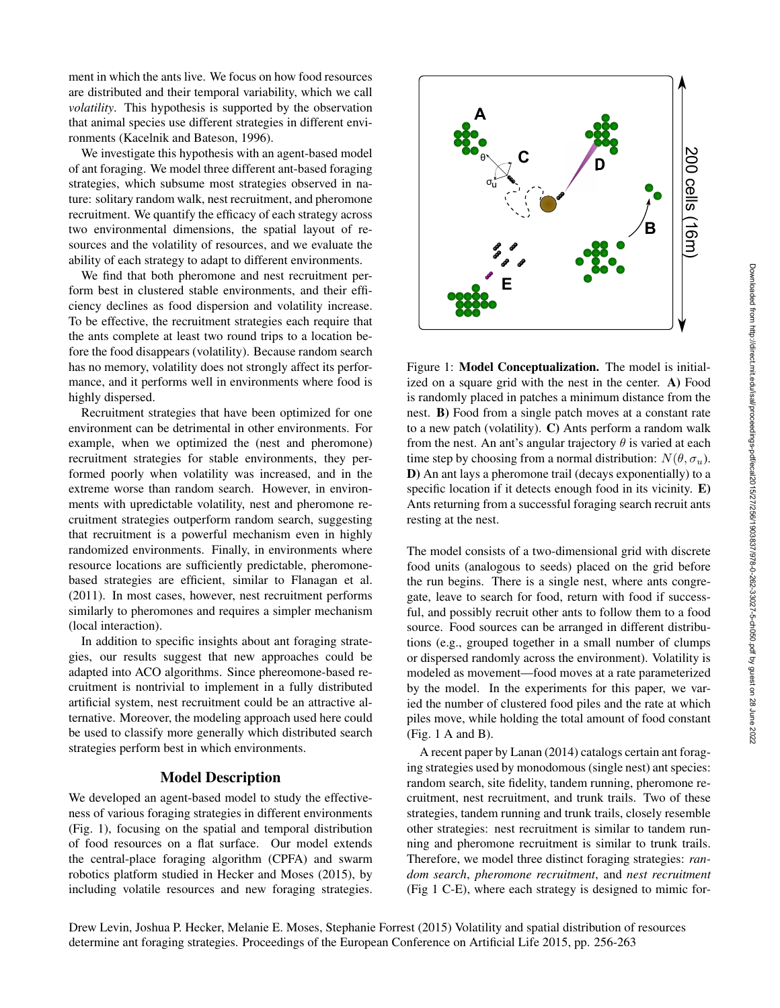ment in which the ants live. We focus on how food resources are distributed and their temporal variability, which we call *volatility*. This hypothesis is supported by the observation that animal species use different strategies in different environments (Kacelnik and Bateson, 1996).

We investigate this hypothesis with an agent-based model of ant foraging. We model three different ant-based foraging strategies, which subsume most strategies observed in nature: solitary random walk, nest recruitment, and pheromone recruitment. We quantify the efficacy of each strategy across two environmental dimensions, the spatial layout of resources and the volatility of resources, and we evaluate the ability of each strategy to adapt to different environments.

We find that both pheromone and nest recruitment perform best in clustered stable environments, and their efficiency declines as food dispersion and volatility increase. To be effective, the recruitment strategies each require that the ants complete at least two round trips to a location before the food disappears (volatility). Because random search has no memory, volatility does not strongly affect its performance, and it performs well in environments where food is highly dispersed.

Recruitment strategies that have been optimized for one environment can be detrimental in other environments. For example, when we optimized the (nest and pheromone) recruitment strategies for stable environments, they performed poorly when volatility was increased, and in the extreme worse than random search. However, in environments with upredictable volatility, nest and pheromone recruitment strategies outperform random search, suggesting that recruitment is a powerful mechanism even in highly randomized environments. Finally, in environments where resource locations are sufficiently predictable, pheromonebased strategies are efficient, similar to Flanagan et al. (2011). In most cases, however, nest recruitment performs similarly to pheromones and requires a simpler mechanism (local interaction).

In addition to specific insights about ant foraging strategies, our results suggest that new approaches could be adapted into ACO algorithms. Since phereomone-based recruitment is nontrivial to implement in a fully distributed artificial system, nest recruitment could be an attractive alternative. Moreover, the modeling approach used here could be used to classify more generally which distributed search strategies perform best in which environments.

# Model Description

We developed an agent-based model to study the effectiveness of various foraging strategies in different environments (Fig. 1), focusing on the spatial and temporal distribution of food resources on a flat surface. Our model extends the central-place foraging algorithm (CPFA) and swarm robotics platform studied in Hecker and Moses (2015), by including volatile resources and new foraging strategies.



Figure 1: Model Conceptualization. The model is initialized on a square grid with the nest in the center. A) Food is randomly placed in patches a minimum distance from the nest. B) Food from a single patch moves at a constant rate to a new patch (volatility). C) Ants perform a random walk from the nest. An ant's angular trajectory  $\theta$  is varied at each time step by choosing from a normal distribution:  $N(\theta, \sigma_u)$ . D) An ant lays a pheromone trail (decays exponentially) to a specific location if it detects enough food in its vicinity. E) Ants returning from a successful foraging search recruit ants resting at the nest.

The model consists of a two-dimensional grid with discrete food units (analogous to seeds) placed on the grid before the run begins. There is a single nest, where ants congregate, leave to search for food, return with food if successful, and possibly recruit other ants to follow them to a food source. Food sources can be arranged in different distributions (e.g., grouped together in a small number of clumps or dispersed randomly across the environment). Volatility is modeled as movement—food moves at a rate parameterized by the model. In the experiments for this paper, we varied the number of clustered food piles and the rate at which piles move, while holding the total amount of food constant (Fig. 1 A and B).

A recent paper by Lanan (2014) catalogs certain ant foraging strategies used by monodomous (single nest) ant species: random search, site fidelity, tandem running, pheromone recruitment, nest recruitment, and trunk trails. Two of these strategies, tandem running and trunk trails, closely resemble other strategies: nest recruitment is similar to tandem running and pheromone recruitment is similar to trunk trails. Therefore, we model three distinct foraging strategies: *random search*, *pheromone recruitment*, and *nest recruitment* (Fig 1 C-E), where each strategy is designed to mimic for-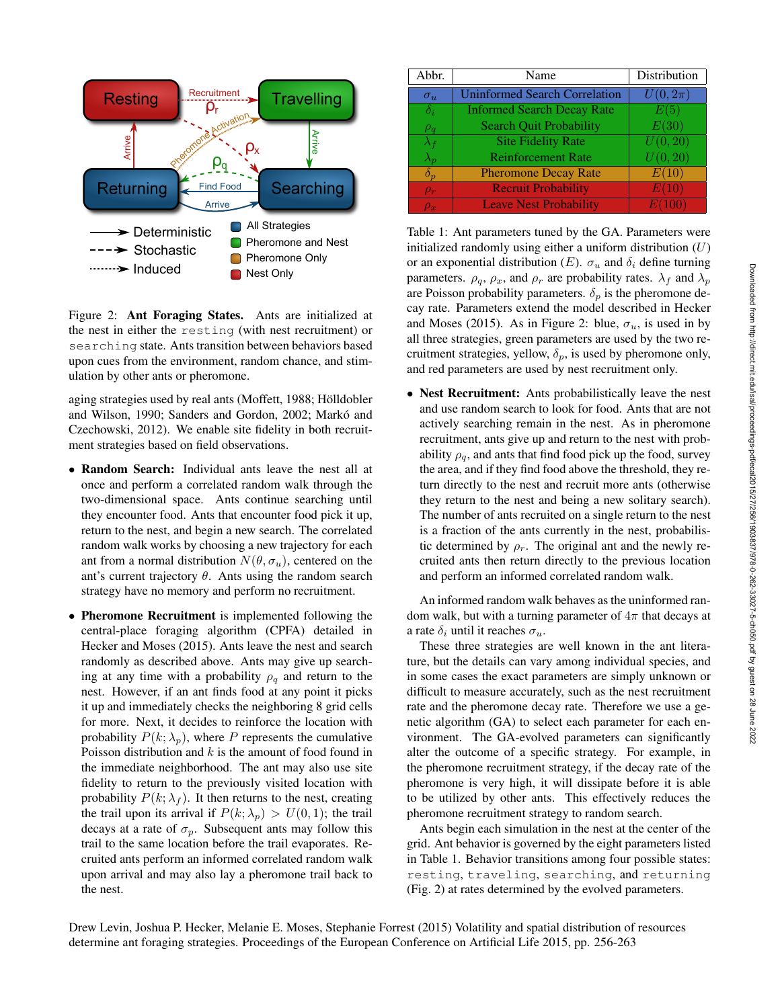

Figure 2: Ant Foraging States. Ants are initialized at the nest in either the resting (with nest recruitment) or searching state. Ants transition between behaviors based upon cues from the environment, random chance, and stimulation by other ants or pheromone.

aging strategies used by real ants (Moffett, 1988; Hölldobler and Wilson, 1990; Sanders and Gordon, 2002; Markó and Czechowski, 2012). We enable site fidelity in both recruitment strategies based on field observations.

- Random Search: Individual ants leave the nest all at once and perform a correlated random walk through the two-dimensional space. Ants continue searching until they encounter food. Ants that encounter food pick it up, return to the nest, and begin a new search. The correlated random walk works by choosing a new trajectory for each ant from a normal distribution  $N(\theta, \sigma_u)$ , centered on the ant's current trajectory  $\theta$ . Ants using the random search strategy have no memory and perform no recruitment.
- Pheromone Recruitment is implemented following the central-place foraging algorithm (CPFA) detailed in Hecker and Moses (2015). Ants leave the nest and search randomly as described above. Ants may give up searching at any time with a probability  $\rho_q$  and return to the nest. However, if an ant finds food at any point it picks it up and immediately checks the neighboring 8 grid cells for more. Next, it decides to reinforce the location with probability  $P(k; \lambda_p)$ , where P represents the cumulative Poisson distribution and  $k$  is the amount of food found in the immediate neighborhood. The ant may also use site fidelity to return to the previously visited location with probability  $P(k; \lambda_f)$ . It then returns to the nest, creating the trail upon its arrival if  $P(k; \lambda_p) > U(0, 1)$ ; the trail decays at a rate of  $\sigma_n$ . Subsequent ants may follow this trail to the same location before the trail evaporates. Recruited ants perform an informed correlated random walk upon arrival and may also lay a pheromone trail back to the nest.

| Abbr.             | Name                                 | Distribution         |
|-------------------|--------------------------------------|----------------------|
| $\sigma_u$        | <b>Uninformed Search Correlation</b> | $U(0,2\pi)$          |
| $\delta_i$        | <b>Informed Search Decay Rate</b>    | E(5)                 |
| $\rho_q$          | <b>Search Quit Probability</b>       | E(30)                |
| $\lambda_f$       | <b>Site Fidelity Rate</b>            | U(0, 20)             |
| $\lambda_p$       | <b>Reinforcement Rate</b>            | $\overline{U}(0,20)$ |
| $\delta_{\bm{v}}$ | <b>Pheromone Decay Rate</b>          | E(10)                |
| $\rho_r$          | <b>Recruit Probability</b>           | E(10)                |
| $\rho_x$          | <b>Leave Nest Probability</b>        | E(100)               |

Table 1: Ant parameters tuned by the GA. Parameters were initialized randomly using either a uniform distribution  $(U)$ or an exponential distribution  $(E)$ .  $\sigma_u$  and  $\delta_i$  define turning parameters.  $\rho_q$ ,  $\rho_x$ , and  $\rho_r$  are probability rates.  $\lambda_f$  and  $\lambda_p$ are Poisson probability parameters.  $\delta_p$  is the pheromone decay rate. Parameters extend the model described in Hecker and Moses (2015). As in Figure 2: blue,  $\sigma_u$ , is used in by all three strategies, green parameters are used by the two recruitment strategies, yellow,  $\delta_p$ , is used by pheromone only, and red parameters are used by nest recruitment only.

• Nest Recruitment: Ants probabilistically leave the nest and use random search to look for food. Ants that are not actively searching remain in the nest. As in pheromone recruitment, ants give up and return to the nest with probability  $\rho_q$ , and ants that find food pick up the food, survey the area, and if they find food above the threshold, they return directly to the nest and recruit more ants (otherwise they return to the nest and being a new solitary search). The number of ants recruited on a single return to the nest is a fraction of the ants currently in the nest, probabilistic determined by  $\rho_r$ . The original ant and the newly recruited ants then return directly to the previous location and perform an informed correlated random walk.

An informed random walk behaves as the uninformed random walk, but with a turning parameter of  $4\pi$  that decays at a rate  $\delta_i$  until it reaches  $\sigma_u$ .

These three strategies are well known in the ant literature, but the details can vary among individual species, and in some cases the exact parameters are simply unknown or difficult to measure accurately, such as the nest recruitment rate and the pheromone decay rate. Therefore we use a genetic algorithm (GA) to select each parameter for each environment. The GA-evolved parameters can significantly alter the outcome of a specific strategy. For example, in the pheromone recruitment strategy, if the decay rate of the pheromone is very high, it will dissipate before it is able to be utilized by other ants. This effectively reduces the pheromone recruitment strategy to random search.

Ants begin each simulation in the nest at the center of the grid. Ant behavior is governed by the eight parameters listed in Table 1. Behavior transitions among four possible states: resting, traveling, searching, and returning (Fig. 2) at rates determined by the evolved parameters.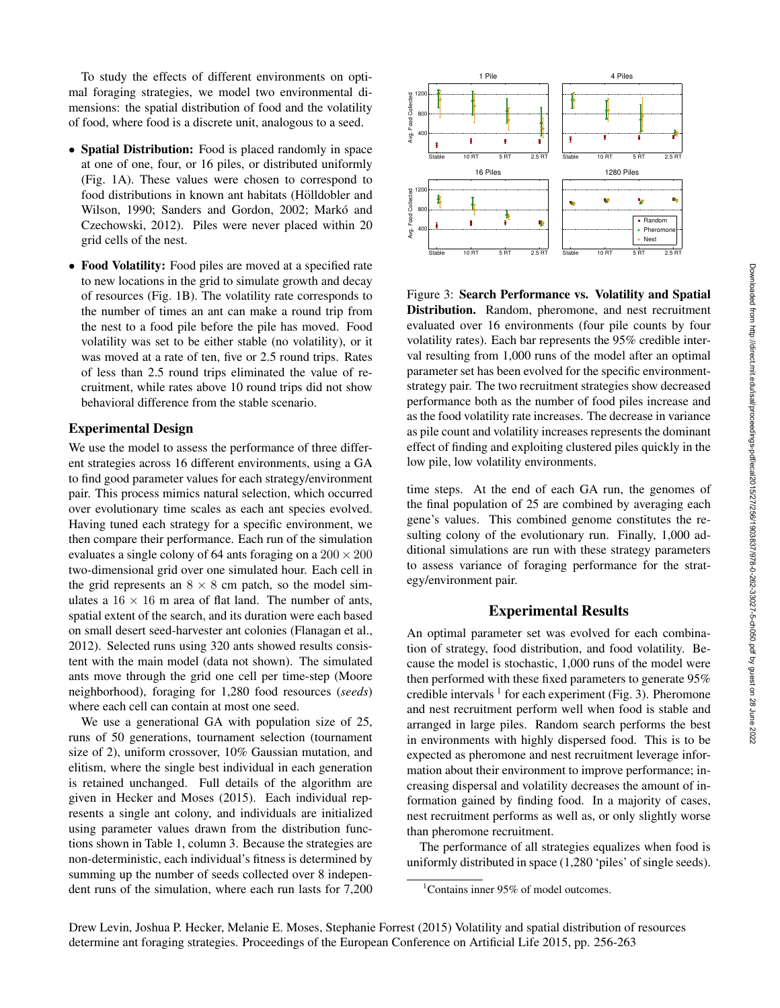To study the effects of different environments on optimal foraging strategies, we model two environmental dimensions: the spatial distribution of food and the volatility of food, where food is a discrete unit, analogous to a seed.

- Spatial Distribution: Food is placed randomly in space at one of one, four, or 16 piles, or distributed uniformly (Fig. 1A). These values were chosen to correspond to food distributions in known ant habitats (Hölldobler and Wilson, 1990; Sanders and Gordon, 2002; Markó and Czechowski, 2012). Piles were never placed within 20 grid cells of the nest.
- Food Volatility: Food piles are moved at a specified rate to new locations in the grid to simulate growth and decay of resources (Fig. 1B). The volatility rate corresponds to the number of times an ant can make a round trip from the nest to a food pile before the pile has moved. Food volatility was set to be either stable (no volatility), or it was moved at a rate of ten, five or 2.5 round trips. Rates of less than 2.5 round trips eliminated the value of recruitment, while rates above 10 round trips did not show behavioral difference from the stable scenario.

#### Experimental Design

We use the model to assess the performance of three different strategies across 16 different environments, using a GA to find good parameter values for each strategy/environment pair. This process mimics natural selection, which occurred over evolutionary time scales as each ant species evolved. Having tuned each strategy for a specific environment, we then compare their performance. Each run of the simulation evaluates a single colony of 64 ants foraging on a  $200 \times 200$ two-dimensional grid over one simulated hour. Each cell in the grid represents an  $8 \times 8$  cm patch, so the model simulates a  $16 \times 16$  m area of flat land. The number of ants, spatial extent of the search, and its duration were each based on small desert seed-harvester ant colonies (Flanagan et al., 2012). Selected runs using 320 ants showed results consistent with the main model (data not shown). The simulated ants move through the grid one cell per time-step (Moore neighborhood), foraging for 1,280 food resources (*seeds*) where each cell can contain at most one seed.

We use a generational GA with population size of 25, runs of 50 generations, tournament selection (tournament size of 2), uniform crossover, 10% Gaussian mutation, and elitism, where the single best individual in each generation is retained unchanged. Full details of the algorithm are given in Hecker and Moses (2015). Each individual represents a single ant colony, and individuals are initialized using parameter values drawn from the distribution functions shown in Table 1, column 3. Because the strategies are non-deterministic, each individual's fitness is determined by summing up the number of seeds collected over 8 independent runs of the simulation, where each run lasts for 7,200



Figure 3: Search Performance vs. Volatility and Spatial Distribution. Random, pheromone, and nest recruitment evaluated over 16 environments (four pile counts by four volatility rates). Each bar represents the 95% credible interval resulting from 1,000 runs of the model after an optimal parameter set has been evolved for the specific environmentstrategy pair. The two recruitment strategies show decreased performance both as the number of food piles increase and as the food volatility rate increases. The decrease in variance as pile count and volatility increases represents the dominant effect of finding and exploiting clustered piles quickly in the low pile, low volatility environments.

time steps. At the end of each GA run, the genomes of the final population of 25 are combined by averaging each gene's values. This combined genome constitutes the resulting colony of the evolutionary run. Finally, 1,000 additional simulations are run with these strategy parameters to assess variance of foraging performance for the strategy/environment pair.

#### Experimental Results

An optimal parameter set was evolved for each combination of strategy, food distribution, and food volatility. Because the model is stochastic, 1,000 runs of the model were then performed with these fixed parameters to generate 95% credible intervals  $<sup>1</sup>$  for each experiment (Fig. 3). Pheromone</sup> and nest recruitment perform well when food is stable and arranged in large piles. Random search performs the best in environments with highly dispersed food. This is to be expected as pheromone and nest recruitment leverage information about their environment to improve performance; increasing dispersal and volatility decreases the amount of information gained by finding food. In a majority of cases, nest recruitment performs as well as, or only slightly worse than pheromone recruitment.

The performance of all strategies equalizes when food is uniformly distributed in space (1,280 'piles' of single seeds).

<sup>&</sup>lt;sup>1</sup>Contains inner 95% of model outcomes.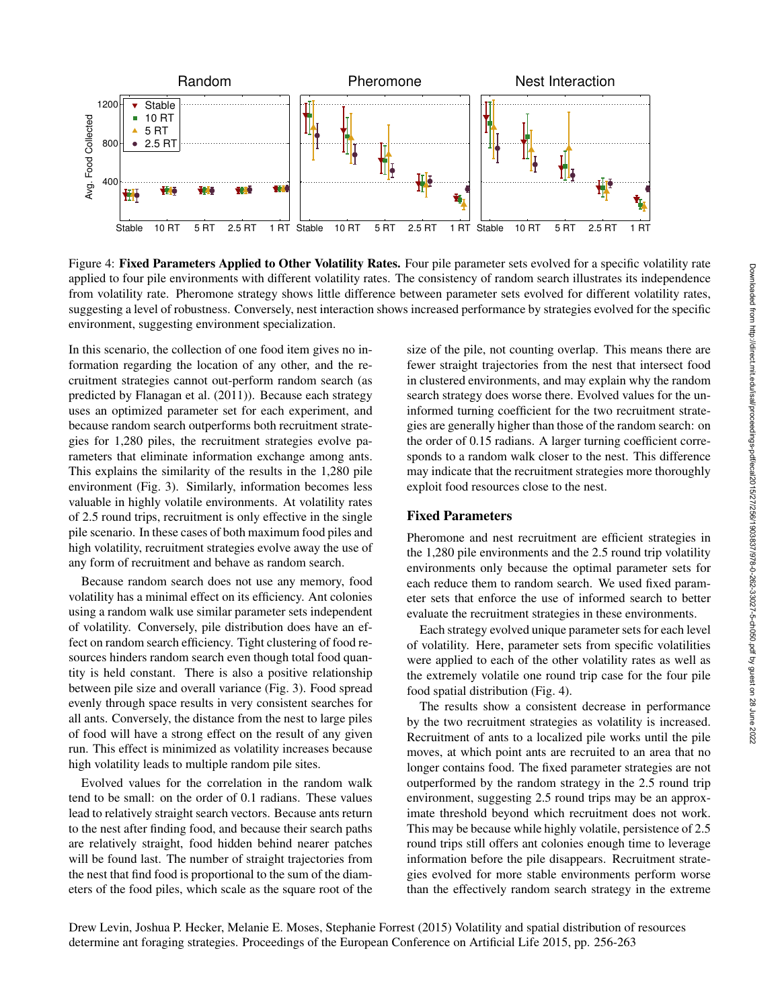

Figure 4: Fixed Parameters Applied to Other Volatility Rates. Four pile parameter sets evolved for a specific volatility rate applied to four pile environments with different volatility rates. The consistency of random search illustrates its independence from volatility rate. Pheromone strategy shows little difference between parameter sets evolved for different volatility rates, suggesting a level of robustness. Conversely, nest interaction shows increased performance by strategies evolved for the specific environment, suggesting environment specialization.

In this scenario, the collection of one food item gives no information regarding the location of any other, and the recruitment strategies cannot out-perform random search (as predicted by Flanagan et al. (2011)). Because each strategy uses an optimized parameter set for each experiment, and because random search outperforms both recruitment strategies for 1,280 piles, the recruitment strategies evolve parameters that eliminate information exchange among ants. This explains the similarity of the results in the 1,280 pile environment (Fig. 3). Similarly, information becomes less valuable in highly volatile environments. At volatility rates of 2.5 round trips, recruitment is only effective in the single pile scenario. In these cases of both maximum food piles and high volatility, recruitment strategies evolve away the use of any form of recruitment and behave as random search.

Because random search does not use any memory, food volatility has a minimal effect on its efficiency. Ant colonies using a random walk use similar parameter sets independent of volatility. Conversely, pile distribution does have an effect on random search efficiency. Tight clustering of food resources hinders random search even though total food quantity is held constant. There is also a positive relationship between pile size and overall variance (Fig. 3). Food spread evenly through space results in very consistent searches for all ants. Conversely, the distance from the nest to large piles of food will have a strong effect on the result of any given run. This effect is minimized as volatility increases because high volatility leads to multiple random pile sites.

Evolved values for the correlation in the random walk tend to be small: on the order of 0.1 radians. These values lead to relatively straight search vectors. Because ants return to the nest after finding food, and because their search paths are relatively straight, food hidden behind nearer patches will be found last. The number of straight trajectories from the nest that find food is proportional to the sum of the diameters of the food piles, which scale as the square root of the size of the pile, not counting overlap. This means there are fewer straight trajectories from the nest that intersect food in clustered environments, and may explain why the random search strategy does worse there. Evolved values for the uninformed turning coefficient for the two recruitment strategies are generally higher than those of the random search: on the order of 0.15 radians. A larger turning coefficient corresponds to a random walk closer to the nest. This difference may indicate that the recruitment strategies more thoroughly exploit food resources close to the nest.

# Fixed Parameters

Pheromone and nest recruitment are efficient strategies in the 1,280 pile environments and the 2.5 round trip volatility environments only because the optimal parameter sets for each reduce them to random search. We used fixed parameter sets that enforce the use of informed search to better evaluate the recruitment strategies in these environments.

Each strategy evolved unique parameter sets for each level of volatility. Here, parameter sets from specific volatilities were applied to each of the other volatility rates as well as the extremely volatile one round trip case for the four pile food spatial distribution (Fig. 4).

The results show a consistent decrease in performance by the two recruitment strategies as volatility is increased. Recruitment of ants to a localized pile works until the pile moves, at which point ants are recruited to an area that no longer contains food. The fixed parameter strategies are not outperformed by the random strategy in the 2.5 round trip environment, suggesting 2.5 round trips may be an approximate threshold beyond which recruitment does not work. This may be because while highly volatile, persistence of 2.5 round trips still offers ant colonies enough time to leverage information before the pile disappears. Recruitment strategies evolved for more stable environments perform worse than the effectively random search strategy in the extreme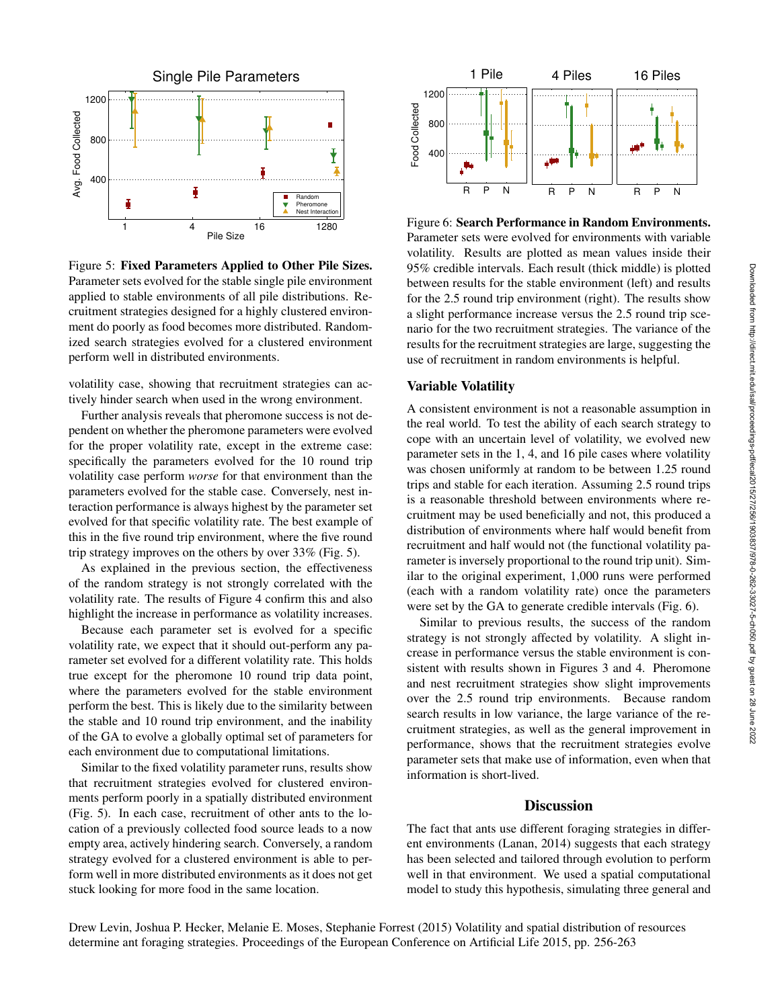

Figure 5: Fixed Parameters Applied to Other Pile Sizes. Parameter sets evolved for the stable single pile environment applied to stable environments of all pile distributions. Recruitment strategies designed for a highly clustered environment do poorly as food becomes more distributed. Randomized search strategies evolved for a clustered environment perform well in distributed environments.

volatility case, showing that recruitment strategies can actively hinder search when used in the wrong environment.

Further analysis reveals that pheromone success is not dependent on whether the pheromone parameters were evolved for the proper volatility rate, except in the extreme case: specifically the parameters evolved for the 10 round trip volatility case perform *worse* for that environment than the parameters evolved for the stable case. Conversely, nest interaction performance is always highest by the parameter set evolved for that specific volatility rate. The best example of this in the five round trip environment, where the five round trip strategy improves on the others by over 33% (Fig. 5).

As explained in the previous section, the effectiveness of the random strategy is not strongly correlated with the volatility rate. The results of Figure 4 confirm this and also highlight the increase in performance as volatility increases.

Because each parameter set is evolved for a specific volatility rate, we expect that it should out-perform any parameter set evolved for a different volatility rate. This holds true except for the pheromone 10 round trip data point, where the parameters evolved for the stable environment perform the best. This is likely due to the similarity between the stable and 10 round trip environment, and the inability of the GA to evolve a globally optimal set of parameters for each environment due to computational limitations.

Similar to the fixed volatility parameter runs, results show that recruitment strategies evolved for clustered environments perform poorly in a spatially distributed environment (Fig. 5). In each case, recruitment of other ants to the location of a previously collected food source leads to a now empty area, actively hindering search. Conversely, a random strategy evolved for a clustered environment is able to perform well in more distributed environments as it does not get stuck looking for more food in the same location.



Figure 6: Search Performance in Random Environments. Parameter sets were evolved for environments with variable volatility. Results are plotted as mean values inside their 95% credible intervals. Each result (thick middle) is plotted between results for the stable environment (left) and results for the 2.5 round trip environment (right). The results show a slight performance increase versus the 2.5 round trip scenario for the two recruitment strategies. The variance of the results for the recruitment strategies are large, suggesting the use of recruitment in random environments is helpful.

## Variable Volatility

A consistent environment is not a reasonable assumption in the real world. To test the ability of each search strategy to cope with an uncertain level of volatility, we evolved new parameter sets in the 1, 4, and 16 pile cases where volatility was chosen uniformly at random to be between 1.25 round trips and stable for each iteration. Assuming 2.5 round trips is a reasonable threshold between environments where recruitment may be used beneficially and not, this produced a distribution of environments where half would benefit from recruitment and half would not (the functional volatility parameter is inversely proportional to the round trip unit). Similar to the original experiment, 1,000 runs were performed (each with a random volatility rate) once the parameters were set by the GA to generate credible intervals (Fig. 6).

Similar to previous results, the success of the random strategy is not strongly affected by volatility. A slight increase in performance versus the stable environment is consistent with results shown in Figures 3 and 4. Pheromone and nest recruitment strategies show slight improvements over the 2.5 round trip environments. Because random search results in low variance, the large variance of the recruitment strategies, as well as the general improvement in performance, shows that the recruitment strategies evolve parameter sets that make use of information, even when that information is short-lived.

#### **Discussion**

The fact that ants use different foraging strategies in different environments (Lanan, 2014) suggests that each strategy has been selected and tailored through evolution to perform well in that environment. We used a spatial computational model to study this hypothesis, simulating three general and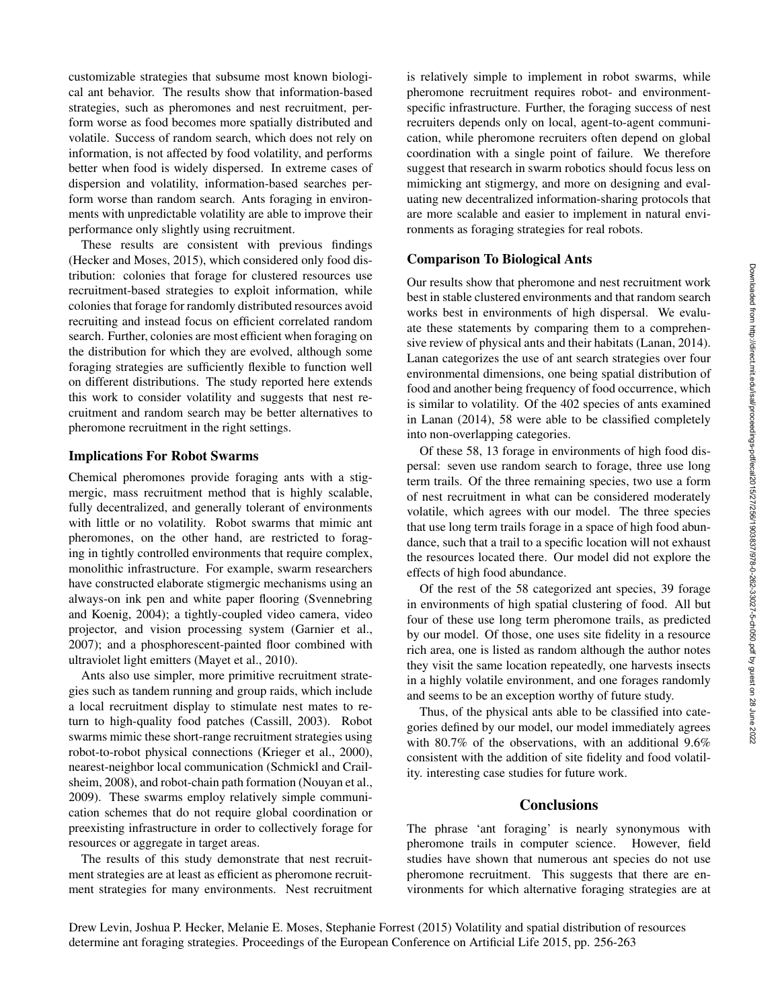customizable strategies that subsume most known biological ant behavior. The results show that information-based strategies, such as pheromones and nest recruitment, perform worse as food becomes more spatially distributed and volatile. Success of random search, which does not rely on information, is not affected by food volatility, and performs better when food is widely dispersed. In extreme cases of dispersion and volatility, information-based searches perform worse than random search. Ants foraging in environments with unpredictable volatility are able to improve their performance only slightly using recruitment.

These results are consistent with previous findings (Hecker and Moses, 2015), which considered only food distribution: colonies that forage for clustered resources use recruitment-based strategies to exploit information, while colonies that forage for randomly distributed resources avoid recruiting and instead focus on efficient correlated random search. Further, colonies are most efficient when foraging on the distribution for which they are evolved, although some foraging strategies are sufficiently flexible to function well on different distributions. The study reported here extends this work to consider volatility and suggests that nest recruitment and random search may be better alternatives to pheromone recruitment in the right settings.

## Implications For Robot Swarms

Chemical pheromones provide foraging ants with a stigmergic, mass recruitment method that is highly scalable, fully decentralized, and generally tolerant of environments with little or no volatility. Robot swarms that mimic ant pheromones, on the other hand, are restricted to foraging in tightly controlled environments that require complex, monolithic infrastructure. For example, swarm researchers have constructed elaborate stigmergic mechanisms using an always-on ink pen and white paper flooring (Svennebring and Koenig, 2004); a tightly-coupled video camera, video projector, and vision processing system (Garnier et al., 2007); and a phosphorescent-painted floor combined with ultraviolet light emitters (Mayet et al., 2010).

Ants also use simpler, more primitive recruitment strategies such as tandem running and group raids, which include a local recruitment display to stimulate nest mates to return to high-quality food patches (Cassill, 2003). Robot swarms mimic these short-range recruitment strategies using robot-to-robot physical connections (Krieger et al., 2000), nearest-neighbor local communication (Schmickl and Crailsheim, 2008), and robot-chain path formation (Nouyan et al., 2009). These swarms employ relatively simple communication schemes that do not require global coordination or preexisting infrastructure in order to collectively forage for resources or aggregate in target areas.

The results of this study demonstrate that nest recruitment strategies are at least as efficient as pheromone recruitment strategies for many environments. Nest recruitment is relatively simple to implement in robot swarms, while pheromone recruitment requires robot- and environmentspecific infrastructure. Further, the foraging success of nest recruiters depends only on local, agent-to-agent communication, while pheromone recruiters often depend on global coordination with a single point of failure. We therefore suggest that research in swarm robotics should focus less on mimicking ant stigmergy, and more on designing and evaluating new decentralized information-sharing protocols that are more scalable and easier to implement in natural environments as foraging strategies for real robots.

# Comparison To Biological Ants

Our results show that pheromone and nest recruitment work best in stable clustered environments and that random search works best in environments of high dispersal. We evaluate these statements by comparing them to a comprehensive review of physical ants and their habitats (Lanan, 2014). Lanan categorizes the use of ant search strategies over four environmental dimensions, one being spatial distribution of food and another being frequency of food occurrence, which is similar to volatility. Of the 402 species of ants examined in Lanan (2014), 58 were able to be classified completely into non-overlapping categories.

Of these 58, 13 forage in environments of high food dispersal: seven use random search to forage, three use long term trails. Of the three remaining species, two use a form of nest recruitment in what can be considered moderately volatile, which agrees with our model. The three species that use long term trails forage in a space of high food abundance, such that a trail to a specific location will not exhaust the resources located there. Our model did not explore the effects of high food abundance.

Of the rest of the 58 categorized ant species, 39 forage in environments of high spatial clustering of food. All but four of these use long term pheromone trails, as predicted by our model. Of those, one uses site fidelity in a resource rich area, one is listed as random although the author notes they visit the same location repeatedly, one harvests insects in a highly volatile environment, and one forages randomly and seems to be an exception worthy of future study.

Thus, of the physical ants able to be classified into categories defined by our model, our model immediately agrees with 80.7% of the observations, with an additional 9.6% consistent with the addition of site fidelity and food volatility. interesting case studies for future work.

#### **Conclusions**

The phrase 'ant foraging' is nearly synonymous with pheromone trails in computer science. However, field studies have shown that numerous ant species do not use pheromone recruitment. This suggests that there are environments for which alternative foraging strategies are at